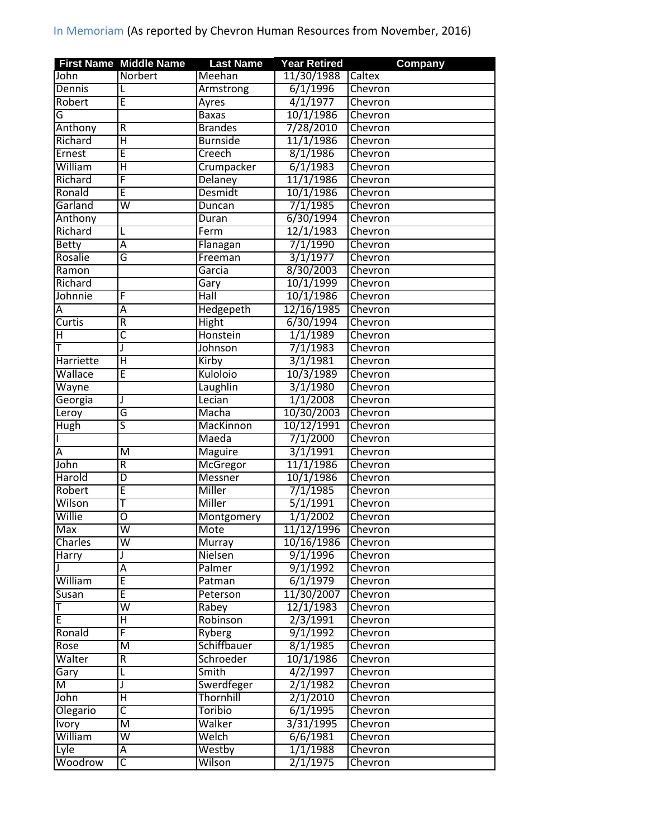|              | <b>First Name Middle Name</b> | <b>Last Name</b> | <b>Year Retired</b>  | <b>Company</b> |
|--------------|-------------------------------|------------------|----------------------|----------------|
| John         | Norbert                       | Meehan           | 11/30/1988           | Caltex         |
| Dennis       |                               | Armstrong        | 6/1/1996             | Chevron        |
| Robert       | E                             | Ayres            | 4/1/1977             | Chevron        |
| G            |                               | <b>Baxas</b>     | 10/1/1986            | Chevron        |
| Anthony      | $\mathsf R$                   | <b>Brandes</b>   | 7/28/2010            | Chevron        |
| Richard      | Ή                             | <b>Burnside</b>  | 11/1/1986            | Chevron        |
| Ernest       | Ē                             | Creech           | 8/1/1986             | Chevron        |
| William      | Ή                             | Crumpacker       | 6/1/1983             | Chevron        |
| Richard      | F                             | Delaney          | 11/1/1986            | Chevron        |
| Ronald       | E                             | <b>Desmidt</b>   | 10/1/1986            | Chevron        |
| Garland      | $\overline{\mathsf{w}}$       | Duncan           | 7/1/1985             | Chevron        |
| Anthony      |                               | Duran            | 6/30/1994            | Chevron        |
| Richard      | L                             | Ferm             | 12/1/1983            | Chevron        |
| <b>Betty</b> | Α                             | Flanagan         | 7/1/1990             | Chevron        |
| Rosalie      | G                             | Freeman          | 3/1/1977             | Chevron        |
| Ramon        |                               | Garcia           | 8/30/2003            | Chevron        |
| Richard      |                               | Gary             | 10/1/1999            | Chevron        |
| Johnnie      | F                             | Hall             | 10/1/1986            | Chevron        |
| А            | Ā                             | Hedgepeth        | 12/16/1985           | Chevron        |
| Curtis       | R                             | Hight            | 6/30/1994            | Chevron        |
| Η            | $\overline{\mathsf{C}}$       | Honstein         | 1/1/1989             | Chevron        |
| т            | I                             | Johnson          | 7/1/1983             | Chevron        |
| Harriette    | Ή                             | Kirby            | 3/1/1981             | Chevron        |
| Wallace      | E                             | Kuloloio         | 10/3/1989            | Chevron        |
| Wayne        |                               | Laughlin         | 3/1/1980             | Chevron        |
| Georgia      |                               | Lecian           | 1/1/2008             | Chevron        |
| Leroy        | G                             | Macha            | 10/30/2003           | Chevron        |
| Hugh         | 5                             | MacKinnon        | 10/12/1991           | Chevron        |
|              |                               | Maeda            | 7/1/2000             | Chevron        |
| Α            | M                             | Maguire          | 3/1/1991             | Chevron        |
| John         | R                             | McGregor         | 11/1/1986            | Chevron        |
| Harold       | $\overline{D}$                | <b>Messner</b>   | 10/1/1986            | Chevron        |
| Robert       | E                             | Miller           |                      | Chevron        |
| Wilson       |                               | Miller           | 7/1/1985<br>5/1/1991 |                |
|              | Т                             |                  |                      | Chevron        |
| Willie       | ō                             | Montgomery       | 1/1/2002             | Chevron        |
| Max          | W                             | Mote             | 11/12/1996           | Chevron        |
| Charles      | $\overline{\mathsf{W}}$       | Murray           | 10/16/1986           | <b>Chevron</b> |
| Harry        | J                             | Nielsen          | 9/1/1996             | Chevron        |
|              | Ā                             | Palmer           | 9/1/1992             | Chevron        |
| William      | Ē                             | Patman           | 6/1/1979             | Chevron        |
| Susan        | Ē                             | Peterson         | 11/30/2007           | Chevron        |
|              | $\overline{\mathsf{w}}$       | Rabey            | 12/1/1983            | Chevron        |
| E            | $\overline{H}$                | Robinson         | 2/3/1991             | Chevron        |
| Ronald       | F                             | Ryberg           | 9/1/1992             | Chevron        |
| Rose         | $\overline{\mathsf{M}}$       | Schiffbauer      | 8/1/1985             | Chevron        |
| Walter       | $\overline{R}$                | Schroeder        | 10/1/1986            | Chevron        |
| Gary         | L                             | Smith            | 4/2/1997             | Chevron        |
| M            | J                             | Swerdfeger       | 2/1/1982             | Chevron        |
| John         | $\overline{\mathsf{H}}$       | Thornhill        | 2/1/2010             | Chevron        |
| Olegario     | $\overline{\mathsf{c}}$       | Toribio          | $\sqrt{6/1/1995}$    | Chevron        |
| Ivory        | M                             | Walker           | 3/31/1995            | <b>Chevron</b> |
| William      | $\overline{\mathsf{w}}$       | Welch            | 6/6/1981             | Chevron        |
| Lyle         | А                             | Westby           | 1/1/1988             | Chevron        |
| Woodrow      | C                             | Wilson           | 2/1/1975             | Chevron        |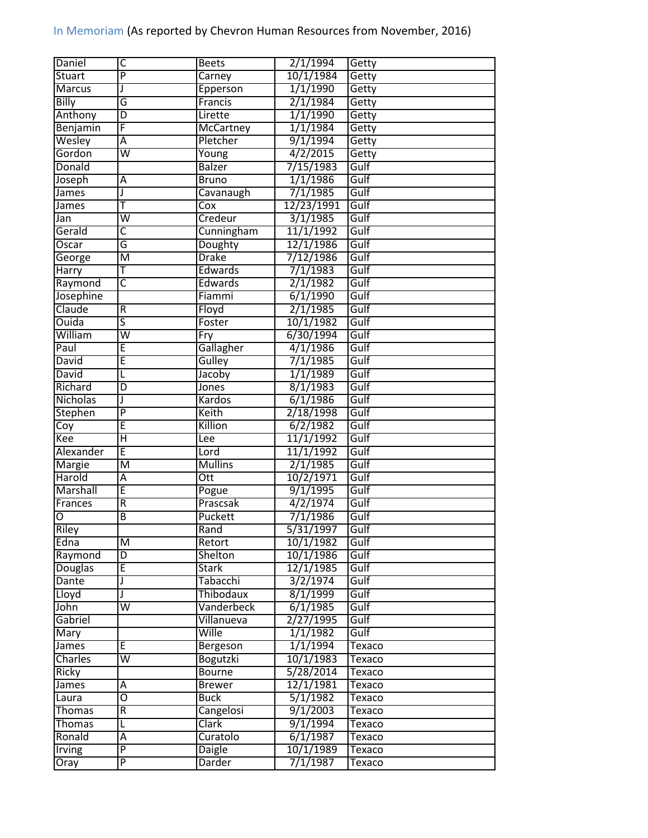| Daniel           | C                       | <b>Beets</b>           | 2/1/1994   | Getty  |
|------------------|-------------------------|------------------------|------------|--------|
| <b>Stuart</b>    | $\overline{P}$          | Carney                 | 10/1/1984  | Getty  |
| Marcus           | J                       | Epperson               | 1/1/1990   | Getty  |
| Billy            | G                       | Francis                | 2/1/1984   | Getty  |
| Anthony          | $\overline{D}$          | Lirette                | 1/1/1990   | Getty  |
| Benjamin         | F                       | <b>McCartney</b>       | 1/1/1984   | Getty  |
| Wesley           | Ā                       | Pletcher               | 9/1/1994   | Getty  |
| Gordon           | W                       | Young                  | 4/2/2015   | Getty  |
| Donald           |                         | <b>Balzer</b>          | 7/15/1983  | Gulf   |
| Joseph           | Α                       | <b>Bruno</b>           | 1/1/1986   | Gulf   |
| James            | J                       | Cavanaugh              | 7/1/1985   | Gulf   |
| James            | т                       | Cox                    | 12/23/1991 | Gulf   |
| Jan              | $\overline{\mathsf{w}}$ | Credeur                | 3/1/1985   | Gulf   |
| Gerald           | $\overline{\mathsf{C}}$ | Cunningham             | 11/1/1992  | Gulf   |
| Oscar            | G                       | Doughty                | 12/1/1986  | Gulf   |
| George           | $\overline{\mathsf{M}}$ | <b>Drake</b>           | 7/12/1986  | Gulf   |
| Harry            | $\overline{\mathsf{T}}$ | Edwards                | 7/1/1983   | Gulf   |
| Raymond          | $\overline{\mathsf{c}}$ | Edwards                | 2/1/1982   | Gulf   |
| Josephine        |                         | Fiammi                 | 6/1/1990   | Gulf   |
| Claude           | ${\sf R}$               | Floyd                  | 2/1/1985   | Gulf   |
| Ouida            | 5                       | Foster                 | 10/1/1982  | Gulf   |
| William          | $\overline{\mathsf{w}}$ | Fry                    | 6/30/1994  | Gulf   |
| Paul             | E                       | Gallagher              | 4/1/1986   | Gulf   |
| David            | E                       | Gulley                 | 7/1/1985   | Gulf   |
| David            | L                       | Jacoby                 | 1/1/1989   | Gulf   |
| Richard          | D                       | Jones                  | 8/1/1983   | Gulf   |
| Nicholas         | J                       | Kardos                 | 6/1/1986   | Gulf   |
| Stephen          | $\overline{P}$          | Keith                  | 2/18/1998  | Gulf   |
|                  | E                       | Killion                | 6/2/1982   | Gulf   |
| Coy<br>Kee       | $\overline{\mathsf{H}}$ |                        | 11/1/1992  | Gulf   |
| Alexander        | Ē                       | Lee                    | 11/1/1992  | Gulf   |
|                  | $\overline{\mathsf{M}}$ | Lord<br><b>Mullins</b> | 2/1/1985   | Gulf   |
| Margie<br>Harold |                         |                        |            | Gulf   |
| Marshall         | A<br>Ē                  | Ott                    | 10/2/1971  |        |
|                  |                         | Pogue                  | 9/1/1995   | Gulf   |
| Frances          | R<br>$\overline{B}$     | Prascsak               | 4/2/1974   | Gulf   |
| O                |                         | Puckett                | 7/1/1986   | Gulf   |
| Riley            |                         | Rand                   | 5/31/1997  | Gulf   |
| Edna             | M                       | Retort                 | 10/1/1982  | Gulf   |
| Raymond          | D                       | Shelton                | 10/1/1986  | Gulf   |
| <b>Douglas</b>   | E                       | Stark                  | 12/1/1985  | Gulf   |
| Dante            | J                       | Tabacchi               | 3/2/1974   | Gulf   |
| Lloyd            | J                       | Thibodaux              | 8/1/1999   | Gulf   |
| John             | $\overline{\mathsf{W}}$ | Vanderbeck             | 6/1/1985   | Gulf   |
| Gabriel          |                         | <b>Villanueva</b>      | 2/27/1995  | Gulf   |
| Mary             |                         | Wille                  | 1/1/1982   | Gulf   |
| <b>James</b>     | E                       | <b>Bergeson</b>        | 1/1/1994   | Texaco |
| Charles          | $\overline{\mathsf{W}}$ | <b>Bogutzki</b>        | 10/1/1983  | Texaco |
| Ricky            |                         | <b>Bourne</b>          | 5/28/2014  | Texaco |
| James            | Α                       | <b>Brewer</b>          | 12/1/1981  | Texaco |
|                  |                         |                        |            | Texaco |
| Laura            | O                       | <b>Buck</b>            | 5/1/1982   |        |
| <b>Thomas</b>    | R                       | Cangelosi              | 9/1/2003   | Texaco |
| <b>Thomas</b>    | L                       | Clark                  | 9/1/1994   | Texaco |
| Ronald           | А                       | Curatolo               | 6/1/1987   | Texaco |
| Irving           | $\overline{\mathsf{P}}$ | <b>Daigle</b>          | 10/1/1989  | Texaco |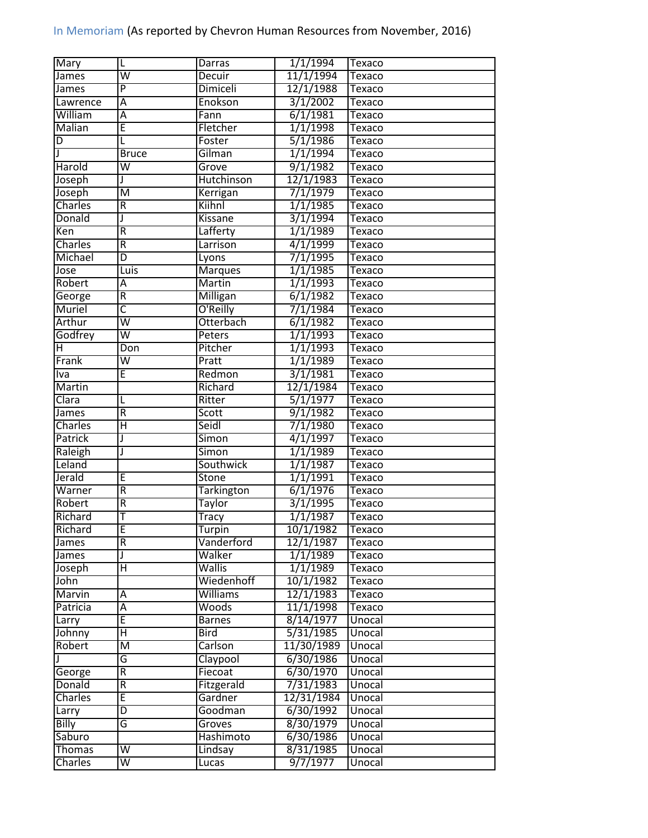| 11/1/1994<br>W<br>James<br>Decuir<br>Texaco<br>$\overline{P}$<br>12/1/1988<br>Dimiceli<br>James<br>Texaco<br>3/1/2002<br>Lawrence<br>Ā<br>Enokson<br>Texaco<br>William<br>6/1/1981<br>A<br>Fann<br>Texaco<br>Ē<br><b>Malian</b><br>1/1/1998<br>Fletcher<br>Texaco<br>5/1/1986<br>Foster<br>D<br>L<br>Texaco<br>Gilman<br>1/1/1994<br><b>Bruce</b><br>Texaco<br>9/1/1982<br>Harold<br>$\overline{\mathsf{w}}$<br>Grove<br><b>Texaco</b><br>Hutchinson<br>12/1/1983<br>Joseph<br>Texaco<br>J<br>Joseph<br>$\overline{\mathsf{M}}$<br>7/1/1979<br>Kerrigan<br>Texaco<br>Charles<br>R<br>1/1/1985<br>Kiihnl<br>Texaco<br>Donald<br><b>Kissane</b><br>3/1/1994<br>J<br>Texaco<br>Lafferty<br>$\overline{R}$<br>1/1/1989<br>Ken<br>Texaco<br>4/1/1999<br>Charles<br>R<br>Larrison<br>Texaco<br>7/1/1995<br>Michael<br>D<br>Texaco<br>Lyons<br>1/1/1985<br>Luis<br><b>Marques</b><br>Jose<br>Texaco<br>1/1/1993<br><b>Martin</b><br>Robert<br>Ā<br>Texaco<br>$\overline{\mathsf{R}}$<br><b>Milligan</b><br>6/1/1982<br>George<br>Texaco<br>$\overline{\mathsf{c}}$<br>O'Reilly<br>7/1/1984<br>Muriel<br>Texaco<br>$\overline{\mathsf{w}}$<br>6/1/1982<br>Arthur<br>Otterbach<br>Texaco<br>$\overline{\mathsf{w}}$<br>1/1/1993<br>Godfrey<br>Peters<br>Texaco<br>1/1/1993<br>$\overline{\mathsf{H}}$<br>Don<br>Pitcher<br>Texaco<br>$\overline{\mathsf{w}}$<br>1/1/1989<br>Frank<br>Pratt<br>Texaco<br>Ē<br>3/1/1981<br>Redmon<br>Iva<br>Texaco<br><b>Martin</b><br>12/1/1984<br>Richard<br>Texaco<br>5/1/1977<br>Clara<br>Ritter<br>L<br>Texaco<br>$\overline{R}$<br>9/1/1982<br>Scott<br>Texaco<br>James<br>Η<br>Seidl<br>7/1/1980<br>Charles<br>Texaco<br>Patrick<br>Simon<br>4/1/1997<br>J<br>Texaco<br>1/1/1989<br><b>Simon</b><br>Raleigh<br>J<br>Texaco<br>Leland<br>1/1/1987<br>Southwick<br>Texaco<br>Jerald<br>E<br>Stone<br>1/1/1991<br>Texaco<br>Warner<br>$\overline{R}$<br>6/1/1976<br>Tarkington<br>Texaco<br>Robert<br>R<br>3/1/1995<br>Texaco<br>Taylor<br>Richard<br>Т<br>1/1/1987<br><b>Tracy</b><br>Texaco<br>F<br>10/1/1982<br>Texaco<br>Richard<br><b>Turpin</b><br>Vanderford<br>12/1/1987<br>R<br>James<br>Texaco<br>Walker<br>1/1/1989<br>J<br>James<br>Texaco<br>Ή<br><b>Wallis</b><br>1/1/1989<br>Joseph<br>Texaco<br>Wiedenhoff<br>10/1/1982<br>John<br>Texaco<br>Marvin<br><b>Williams</b><br>12/1/1983<br>Α<br>Texaco<br>11/1/1998<br>$\overline{A}$<br>Woods<br>Patricia<br>Texaco<br>Ē<br>8/14/1977<br>Unocal<br><b>Barnes</b><br>Larry<br>5/31/1985<br>Η<br>Johnny<br><b>Bird</b><br>Unocal<br>11/30/1989<br>Carlson<br>Robert<br>$\overline{\mathsf{M}}$<br>Unocal<br>G<br>Claypool<br>6/30/1986<br>Unocal<br>6/30/1970<br>$\overline{R}$<br>Fiecoat<br>George<br>Unocal |  |
|----------------------------------------------------------------------------------------------------------------------------------------------------------------------------------------------------------------------------------------------------------------------------------------------------------------------------------------------------------------------------------------------------------------------------------------------------------------------------------------------------------------------------------------------------------------------------------------------------------------------------------------------------------------------------------------------------------------------------------------------------------------------------------------------------------------------------------------------------------------------------------------------------------------------------------------------------------------------------------------------------------------------------------------------------------------------------------------------------------------------------------------------------------------------------------------------------------------------------------------------------------------------------------------------------------------------------------------------------------------------------------------------------------------------------------------------------------------------------------------------------------------------------------------------------------------------------------------------------------------------------------------------------------------------------------------------------------------------------------------------------------------------------------------------------------------------------------------------------------------------------------------------------------------------------------------------------------------------------------------------------------------------------------------------------------------------------------------------------------------------------------------------------------------------------------------------------------------------------------------------------------------------------------------------------------------------------------------------------------------------------------------------------------------------------------------------------------------------------------------------------------------------------------------------------------------------------------------------------------------------------------------------------------------------------------------------------|--|
|                                                                                                                                                                                                                                                                                                                                                                                                                                                                                                                                                                                                                                                                                                                                                                                                                                                                                                                                                                                                                                                                                                                                                                                                                                                                                                                                                                                                                                                                                                                                                                                                                                                                                                                                                                                                                                                                                                                                                                                                                                                                                                                                                                                                                                                                                                                                                                                                                                                                                                                                                                                                                                                                                                    |  |
|                                                                                                                                                                                                                                                                                                                                                                                                                                                                                                                                                                                                                                                                                                                                                                                                                                                                                                                                                                                                                                                                                                                                                                                                                                                                                                                                                                                                                                                                                                                                                                                                                                                                                                                                                                                                                                                                                                                                                                                                                                                                                                                                                                                                                                                                                                                                                                                                                                                                                                                                                                                                                                                                                                    |  |
|                                                                                                                                                                                                                                                                                                                                                                                                                                                                                                                                                                                                                                                                                                                                                                                                                                                                                                                                                                                                                                                                                                                                                                                                                                                                                                                                                                                                                                                                                                                                                                                                                                                                                                                                                                                                                                                                                                                                                                                                                                                                                                                                                                                                                                                                                                                                                                                                                                                                                                                                                                                                                                                                                                    |  |
|                                                                                                                                                                                                                                                                                                                                                                                                                                                                                                                                                                                                                                                                                                                                                                                                                                                                                                                                                                                                                                                                                                                                                                                                                                                                                                                                                                                                                                                                                                                                                                                                                                                                                                                                                                                                                                                                                                                                                                                                                                                                                                                                                                                                                                                                                                                                                                                                                                                                                                                                                                                                                                                                                                    |  |
|                                                                                                                                                                                                                                                                                                                                                                                                                                                                                                                                                                                                                                                                                                                                                                                                                                                                                                                                                                                                                                                                                                                                                                                                                                                                                                                                                                                                                                                                                                                                                                                                                                                                                                                                                                                                                                                                                                                                                                                                                                                                                                                                                                                                                                                                                                                                                                                                                                                                                                                                                                                                                                                                                                    |  |
|                                                                                                                                                                                                                                                                                                                                                                                                                                                                                                                                                                                                                                                                                                                                                                                                                                                                                                                                                                                                                                                                                                                                                                                                                                                                                                                                                                                                                                                                                                                                                                                                                                                                                                                                                                                                                                                                                                                                                                                                                                                                                                                                                                                                                                                                                                                                                                                                                                                                                                                                                                                                                                                                                                    |  |
|                                                                                                                                                                                                                                                                                                                                                                                                                                                                                                                                                                                                                                                                                                                                                                                                                                                                                                                                                                                                                                                                                                                                                                                                                                                                                                                                                                                                                                                                                                                                                                                                                                                                                                                                                                                                                                                                                                                                                                                                                                                                                                                                                                                                                                                                                                                                                                                                                                                                                                                                                                                                                                                                                                    |  |
|                                                                                                                                                                                                                                                                                                                                                                                                                                                                                                                                                                                                                                                                                                                                                                                                                                                                                                                                                                                                                                                                                                                                                                                                                                                                                                                                                                                                                                                                                                                                                                                                                                                                                                                                                                                                                                                                                                                                                                                                                                                                                                                                                                                                                                                                                                                                                                                                                                                                                                                                                                                                                                                                                                    |  |
|                                                                                                                                                                                                                                                                                                                                                                                                                                                                                                                                                                                                                                                                                                                                                                                                                                                                                                                                                                                                                                                                                                                                                                                                                                                                                                                                                                                                                                                                                                                                                                                                                                                                                                                                                                                                                                                                                                                                                                                                                                                                                                                                                                                                                                                                                                                                                                                                                                                                                                                                                                                                                                                                                                    |  |
|                                                                                                                                                                                                                                                                                                                                                                                                                                                                                                                                                                                                                                                                                                                                                                                                                                                                                                                                                                                                                                                                                                                                                                                                                                                                                                                                                                                                                                                                                                                                                                                                                                                                                                                                                                                                                                                                                                                                                                                                                                                                                                                                                                                                                                                                                                                                                                                                                                                                                                                                                                                                                                                                                                    |  |
|                                                                                                                                                                                                                                                                                                                                                                                                                                                                                                                                                                                                                                                                                                                                                                                                                                                                                                                                                                                                                                                                                                                                                                                                                                                                                                                                                                                                                                                                                                                                                                                                                                                                                                                                                                                                                                                                                                                                                                                                                                                                                                                                                                                                                                                                                                                                                                                                                                                                                                                                                                                                                                                                                                    |  |
|                                                                                                                                                                                                                                                                                                                                                                                                                                                                                                                                                                                                                                                                                                                                                                                                                                                                                                                                                                                                                                                                                                                                                                                                                                                                                                                                                                                                                                                                                                                                                                                                                                                                                                                                                                                                                                                                                                                                                                                                                                                                                                                                                                                                                                                                                                                                                                                                                                                                                                                                                                                                                                                                                                    |  |
|                                                                                                                                                                                                                                                                                                                                                                                                                                                                                                                                                                                                                                                                                                                                                                                                                                                                                                                                                                                                                                                                                                                                                                                                                                                                                                                                                                                                                                                                                                                                                                                                                                                                                                                                                                                                                                                                                                                                                                                                                                                                                                                                                                                                                                                                                                                                                                                                                                                                                                                                                                                                                                                                                                    |  |
|                                                                                                                                                                                                                                                                                                                                                                                                                                                                                                                                                                                                                                                                                                                                                                                                                                                                                                                                                                                                                                                                                                                                                                                                                                                                                                                                                                                                                                                                                                                                                                                                                                                                                                                                                                                                                                                                                                                                                                                                                                                                                                                                                                                                                                                                                                                                                                                                                                                                                                                                                                                                                                                                                                    |  |
|                                                                                                                                                                                                                                                                                                                                                                                                                                                                                                                                                                                                                                                                                                                                                                                                                                                                                                                                                                                                                                                                                                                                                                                                                                                                                                                                                                                                                                                                                                                                                                                                                                                                                                                                                                                                                                                                                                                                                                                                                                                                                                                                                                                                                                                                                                                                                                                                                                                                                                                                                                                                                                                                                                    |  |
|                                                                                                                                                                                                                                                                                                                                                                                                                                                                                                                                                                                                                                                                                                                                                                                                                                                                                                                                                                                                                                                                                                                                                                                                                                                                                                                                                                                                                                                                                                                                                                                                                                                                                                                                                                                                                                                                                                                                                                                                                                                                                                                                                                                                                                                                                                                                                                                                                                                                                                                                                                                                                                                                                                    |  |
|                                                                                                                                                                                                                                                                                                                                                                                                                                                                                                                                                                                                                                                                                                                                                                                                                                                                                                                                                                                                                                                                                                                                                                                                                                                                                                                                                                                                                                                                                                                                                                                                                                                                                                                                                                                                                                                                                                                                                                                                                                                                                                                                                                                                                                                                                                                                                                                                                                                                                                                                                                                                                                                                                                    |  |
|                                                                                                                                                                                                                                                                                                                                                                                                                                                                                                                                                                                                                                                                                                                                                                                                                                                                                                                                                                                                                                                                                                                                                                                                                                                                                                                                                                                                                                                                                                                                                                                                                                                                                                                                                                                                                                                                                                                                                                                                                                                                                                                                                                                                                                                                                                                                                                                                                                                                                                                                                                                                                                                                                                    |  |
|                                                                                                                                                                                                                                                                                                                                                                                                                                                                                                                                                                                                                                                                                                                                                                                                                                                                                                                                                                                                                                                                                                                                                                                                                                                                                                                                                                                                                                                                                                                                                                                                                                                                                                                                                                                                                                                                                                                                                                                                                                                                                                                                                                                                                                                                                                                                                                                                                                                                                                                                                                                                                                                                                                    |  |
|                                                                                                                                                                                                                                                                                                                                                                                                                                                                                                                                                                                                                                                                                                                                                                                                                                                                                                                                                                                                                                                                                                                                                                                                                                                                                                                                                                                                                                                                                                                                                                                                                                                                                                                                                                                                                                                                                                                                                                                                                                                                                                                                                                                                                                                                                                                                                                                                                                                                                                                                                                                                                                                                                                    |  |
|                                                                                                                                                                                                                                                                                                                                                                                                                                                                                                                                                                                                                                                                                                                                                                                                                                                                                                                                                                                                                                                                                                                                                                                                                                                                                                                                                                                                                                                                                                                                                                                                                                                                                                                                                                                                                                                                                                                                                                                                                                                                                                                                                                                                                                                                                                                                                                                                                                                                                                                                                                                                                                                                                                    |  |
|                                                                                                                                                                                                                                                                                                                                                                                                                                                                                                                                                                                                                                                                                                                                                                                                                                                                                                                                                                                                                                                                                                                                                                                                                                                                                                                                                                                                                                                                                                                                                                                                                                                                                                                                                                                                                                                                                                                                                                                                                                                                                                                                                                                                                                                                                                                                                                                                                                                                                                                                                                                                                                                                                                    |  |
|                                                                                                                                                                                                                                                                                                                                                                                                                                                                                                                                                                                                                                                                                                                                                                                                                                                                                                                                                                                                                                                                                                                                                                                                                                                                                                                                                                                                                                                                                                                                                                                                                                                                                                                                                                                                                                                                                                                                                                                                                                                                                                                                                                                                                                                                                                                                                                                                                                                                                                                                                                                                                                                                                                    |  |
|                                                                                                                                                                                                                                                                                                                                                                                                                                                                                                                                                                                                                                                                                                                                                                                                                                                                                                                                                                                                                                                                                                                                                                                                                                                                                                                                                                                                                                                                                                                                                                                                                                                                                                                                                                                                                                                                                                                                                                                                                                                                                                                                                                                                                                                                                                                                                                                                                                                                                                                                                                                                                                                                                                    |  |
|                                                                                                                                                                                                                                                                                                                                                                                                                                                                                                                                                                                                                                                                                                                                                                                                                                                                                                                                                                                                                                                                                                                                                                                                                                                                                                                                                                                                                                                                                                                                                                                                                                                                                                                                                                                                                                                                                                                                                                                                                                                                                                                                                                                                                                                                                                                                                                                                                                                                                                                                                                                                                                                                                                    |  |
|                                                                                                                                                                                                                                                                                                                                                                                                                                                                                                                                                                                                                                                                                                                                                                                                                                                                                                                                                                                                                                                                                                                                                                                                                                                                                                                                                                                                                                                                                                                                                                                                                                                                                                                                                                                                                                                                                                                                                                                                                                                                                                                                                                                                                                                                                                                                                                                                                                                                                                                                                                                                                                                                                                    |  |
|                                                                                                                                                                                                                                                                                                                                                                                                                                                                                                                                                                                                                                                                                                                                                                                                                                                                                                                                                                                                                                                                                                                                                                                                                                                                                                                                                                                                                                                                                                                                                                                                                                                                                                                                                                                                                                                                                                                                                                                                                                                                                                                                                                                                                                                                                                                                                                                                                                                                                                                                                                                                                                                                                                    |  |
|                                                                                                                                                                                                                                                                                                                                                                                                                                                                                                                                                                                                                                                                                                                                                                                                                                                                                                                                                                                                                                                                                                                                                                                                                                                                                                                                                                                                                                                                                                                                                                                                                                                                                                                                                                                                                                                                                                                                                                                                                                                                                                                                                                                                                                                                                                                                                                                                                                                                                                                                                                                                                                                                                                    |  |
|                                                                                                                                                                                                                                                                                                                                                                                                                                                                                                                                                                                                                                                                                                                                                                                                                                                                                                                                                                                                                                                                                                                                                                                                                                                                                                                                                                                                                                                                                                                                                                                                                                                                                                                                                                                                                                                                                                                                                                                                                                                                                                                                                                                                                                                                                                                                                                                                                                                                                                                                                                                                                                                                                                    |  |
|                                                                                                                                                                                                                                                                                                                                                                                                                                                                                                                                                                                                                                                                                                                                                                                                                                                                                                                                                                                                                                                                                                                                                                                                                                                                                                                                                                                                                                                                                                                                                                                                                                                                                                                                                                                                                                                                                                                                                                                                                                                                                                                                                                                                                                                                                                                                                                                                                                                                                                                                                                                                                                                                                                    |  |
|                                                                                                                                                                                                                                                                                                                                                                                                                                                                                                                                                                                                                                                                                                                                                                                                                                                                                                                                                                                                                                                                                                                                                                                                                                                                                                                                                                                                                                                                                                                                                                                                                                                                                                                                                                                                                                                                                                                                                                                                                                                                                                                                                                                                                                                                                                                                                                                                                                                                                                                                                                                                                                                                                                    |  |
|                                                                                                                                                                                                                                                                                                                                                                                                                                                                                                                                                                                                                                                                                                                                                                                                                                                                                                                                                                                                                                                                                                                                                                                                                                                                                                                                                                                                                                                                                                                                                                                                                                                                                                                                                                                                                                                                                                                                                                                                                                                                                                                                                                                                                                                                                                                                                                                                                                                                                                                                                                                                                                                                                                    |  |
|                                                                                                                                                                                                                                                                                                                                                                                                                                                                                                                                                                                                                                                                                                                                                                                                                                                                                                                                                                                                                                                                                                                                                                                                                                                                                                                                                                                                                                                                                                                                                                                                                                                                                                                                                                                                                                                                                                                                                                                                                                                                                                                                                                                                                                                                                                                                                                                                                                                                                                                                                                                                                                                                                                    |  |
|                                                                                                                                                                                                                                                                                                                                                                                                                                                                                                                                                                                                                                                                                                                                                                                                                                                                                                                                                                                                                                                                                                                                                                                                                                                                                                                                                                                                                                                                                                                                                                                                                                                                                                                                                                                                                                                                                                                                                                                                                                                                                                                                                                                                                                                                                                                                                                                                                                                                                                                                                                                                                                                                                                    |  |
|                                                                                                                                                                                                                                                                                                                                                                                                                                                                                                                                                                                                                                                                                                                                                                                                                                                                                                                                                                                                                                                                                                                                                                                                                                                                                                                                                                                                                                                                                                                                                                                                                                                                                                                                                                                                                                                                                                                                                                                                                                                                                                                                                                                                                                                                                                                                                                                                                                                                                                                                                                                                                                                                                                    |  |
|                                                                                                                                                                                                                                                                                                                                                                                                                                                                                                                                                                                                                                                                                                                                                                                                                                                                                                                                                                                                                                                                                                                                                                                                                                                                                                                                                                                                                                                                                                                                                                                                                                                                                                                                                                                                                                                                                                                                                                                                                                                                                                                                                                                                                                                                                                                                                                                                                                                                                                                                                                                                                                                                                                    |  |
|                                                                                                                                                                                                                                                                                                                                                                                                                                                                                                                                                                                                                                                                                                                                                                                                                                                                                                                                                                                                                                                                                                                                                                                                                                                                                                                                                                                                                                                                                                                                                                                                                                                                                                                                                                                                                                                                                                                                                                                                                                                                                                                                                                                                                                                                                                                                                                                                                                                                                                                                                                                                                                                                                                    |  |
|                                                                                                                                                                                                                                                                                                                                                                                                                                                                                                                                                                                                                                                                                                                                                                                                                                                                                                                                                                                                                                                                                                                                                                                                                                                                                                                                                                                                                                                                                                                                                                                                                                                                                                                                                                                                                                                                                                                                                                                                                                                                                                                                                                                                                                                                                                                                                                                                                                                                                                                                                                                                                                                                                                    |  |
|                                                                                                                                                                                                                                                                                                                                                                                                                                                                                                                                                                                                                                                                                                                                                                                                                                                                                                                                                                                                                                                                                                                                                                                                                                                                                                                                                                                                                                                                                                                                                                                                                                                                                                                                                                                                                                                                                                                                                                                                                                                                                                                                                                                                                                                                                                                                                                                                                                                                                                                                                                                                                                                                                                    |  |
|                                                                                                                                                                                                                                                                                                                                                                                                                                                                                                                                                                                                                                                                                                                                                                                                                                                                                                                                                                                                                                                                                                                                                                                                                                                                                                                                                                                                                                                                                                                                                                                                                                                                                                                                                                                                                                                                                                                                                                                                                                                                                                                                                                                                                                                                                                                                                                                                                                                                                                                                                                                                                                                                                                    |  |
|                                                                                                                                                                                                                                                                                                                                                                                                                                                                                                                                                                                                                                                                                                                                                                                                                                                                                                                                                                                                                                                                                                                                                                                                                                                                                                                                                                                                                                                                                                                                                                                                                                                                                                                                                                                                                                                                                                                                                                                                                                                                                                                                                                                                                                                                                                                                                                                                                                                                                                                                                                                                                                                                                                    |  |
|                                                                                                                                                                                                                                                                                                                                                                                                                                                                                                                                                                                                                                                                                                                                                                                                                                                                                                                                                                                                                                                                                                                                                                                                                                                                                                                                                                                                                                                                                                                                                                                                                                                                                                                                                                                                                                                                                                                                                                                                                                                                                                                                                                                                                                                                                                                                                                                                                                                                                                                                                                                                                                                                                                    |  |
|                                                                                                                                                                                                                                                                                                                                                                                                                                                                                                                                                                                                                                                                                                                                                                                                                                                                                                                                                                                                                                                                                                                                                                                                                                                                                                                                                                                                                                                                                                                                                                                                                                                                                                                                                                                                                                                                                                                                                                                                                                                                                                                                                                                                                                                                                                                                                                                                                                                                                                                                                                                                                                                                                                    |  |
|                                                                                                                                                                                                                                                                                                                                                                                                                                                                                                                                                                                                                                                                                                                                                                                                                                                                                                                                                                                                                                                                                                                                                                                                                                                                                                                                                                                                                                                                                                                                                                                                                                                                                                                                                                                                                                                                                                                                                                                                                                                                                                                                                                                                                                                                                                                                                                                                                                                                                                                                                                                                                                                                                                    |  |
|                                                                                                                                                                                                                                                                                                                                                                                                                                                                                                                                                                                                                                                                                                                                                                                                                                                                                                                                                                                                                                                                                                                                                                                                                                                                                                                                                                                                                                                                                                                                                                                                                                                                                                                                                                                                                                                                                                                                                                                                                                                                                                                                                                                                                                                                                                                                                                                                                                                                                                                                                                                                                                                                                                    |  |
|                                                                                                                                                                                                                                                                                                                                                                                                                                                                                                                                                                                                                                                                                                                                                                                                                                                                                                                                                                                                                                                                                                                                                                                                                                                                                                                                                                                                                                                                                                                                                                                                                                                                                                                                                                                                                                                                                                                                                                                                                                                                                                                                                                                                                                                                                                                                                                                                                                                                                                                                                                                                                                                                                                    |  |
|                                                                                                                                                                                                                                                                                                                                                                                                                                                                                                                                                                                                                                                                                                                                                                                                                                                                                                                                                                                                                                                                                                                                                                                                                                                                                                                                                                                                                                                                                                                                                                                                                                                                                                                                                                                                                                                                                                                                                                                                                                                                                                                                                                                                                                                                                                                                                                                                                                                                                                                                                                                                                                                                                                    |  |
|                                                                                                                                                                                                                                                                                                                                                                                                                                                                                                                                                                                                                                                                                                                                                                                                                                                                                                                                                                                                                                                                                                                                                                                                                                                                                                                                                                                                                                                                                                                                                                                                                                                                                                                                                                                                                                                                                                                                                                                                                                                                                                                                                                                                                                                                                                                                                                                                                                                                                                                                                                                                                                                                                                    |  |
| 7/31/1983<br>Donald<br>R<br>Fitzgerald<br>Unocal                                                                                                                                                                                                                                                                                                                                                                                                                                                                                                                                                                                                                                                                                                                                                                                                                                                                                                                                                                                                                                                                                                                                                                                                                                                                                                                                                                                                                                                                                                                                                                                                                                                                                                                                                                                                                                                                                                                                                                                                                                                                                                                                                                                                                                                                                                                                                                                                                                                                                                                                                                                                                                                   |  |
| E<br>12/31/1984<br>Charles<br>Gardner<br>Unocal                                                                                                                                                                                                                                                                                                                                                                                                                                                                                                                                                                                                                                                                                                                                                                                                                                                                                                                                                                                                                                                                                                                                                                                                                                                                                                                                                                                                                                                                                                                                                                                                                                                                                                                                                                                                                                                                                                                                                                                                                                                                                                                                                                                                                                                                                                                                                                                                                                                                                                                                                                                                                                                    |  |
| 6/30/1992<br>Goodman<br>D<br>Unocal<br>Larry                                                                                                                                                                                                                                                                                                                                                                                                                                                                                                                                                                                                                                                                                                                                                                                                                                                                                                                                                                                                                                                                                                                                                                                                                                                                                                                                                                                                                                                                                                                                                                                                                                                                                                                                                                                                                                                                                                                                                                                                                                                                                                                                                                                                                                                                                                                                                                                                                                                                                                                                                                                                                                                       |  |
| <b>Billy</b><br>8/30/1979<br>G<br>Groves<br>Unocal                                                                                                                                                                                                                                                                                                                                                                                                                                                                                                                                                                                                                                                                                                                                                                                                                                                                                                                                                                                                                                                                                                                                                                                                                                                                                                                                                                                                                                                                                                                                                                                                                                                                                                                                                                                                                                                                                                                                                                                                                                                                                                                                                                                                                                                                                                                                                                                                                                                                                                                                                                                                                                                 |  |
| Hashimoto<br>6/30/1986<br>Saburo<br>Unocal                                                                                                                                                                                                                                                                                                                                                                                                                                                                                                                                                                                                                                                                                                                                                                                                                                                                                                                                                                                                                                                                                                                                                                                                                                                                                                                                                                                                                                                                                                                                                                                                                                                                                                                                                                                                                                                                                                                                                                                                                                                                                                                                                                                                                                                                                                                                                                                                                                                                                                                                                                                                                                                         |  |
| $\overline{\mathsf{w}}$<br>8/31/1985<br><b>Thomas</b><br>Unocal<br>Lindsay                                                                                                                                                                                                                                                                                                                                                                                                                                                                                                                                                                                                                                                                                                                                                                                                                                                                                                                                                                                                                                                                                                                                                                                                                                                                                                                                                                                                                                                                                                                                                                                                                                                                                                                                                                                                                                                                                                                                                                                                                                                                                                                                                                                                                                                                                                                                                                                                                                                                                                                                                                                                                         |  |
| 9/7/1977<br>$\overline{\mathsf{W}}$<br><b>Charles</b><br>Unocal<br>Lucas                                                                                                                                                                                                                                                                                                                                                                                                                                                                                                                                                                                                                                                                                                                                                                                                                                                                                                                                                                                                                                                                                                                                                                                                                                                                                                                                                                                                                                                                                                                                                                                                                                                                                                                                                                                                                                                                                                                                                                                                                                                                                                                                                                                                                                                                                                                                                                                                                                                                                                                                                                                                                           |  |